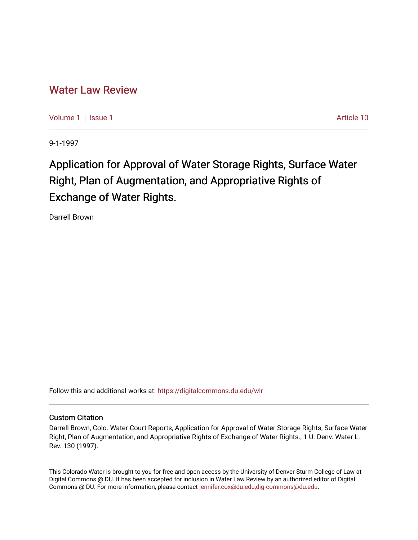## [Water Law Review](https://digitalcommons.du.edu/wlr)

[Volume 1](https://digitalcommons.du.edu/wlr/vol1) | [Issue 1](https://digitalcommons.du.edu/wlr/vol1/iss1) Article 10

9-1-1997

# Application for Approval of Water Storage Rights, Surface Water Right, Plan of Augmentation, and Appropriative Rights of Exchange of Water Rights.

Darrell Brown

Follow this and additional works at: [https://digitalcommons.du.edu/wlr](https://digitalcommons.du.edu/wlr?utm_source=digitalcommons.du.edu%2Fwlr%2Fvol1%2Fiss1%2F10&utm_medium=PDF&utm_campaign=PDFCoverPages) 

### Custom Citation

Darrell Brown, Colo. Water Court Reports, Application for Approval of Water Storage Rights, Surface Water Right, Plan of Augmentation, and Appropriative Rights of Exchange of Water Rights., 1 U. Denv. Water L. Rev. 130 (1997).

This Colorado Water is brought to you for free and open access by the University of Denver Sturm College of Law at Digital Commons @ DU. It has been accepted for inclusion in Water Law Review by an authorized editor of Digital Commons @ DU. For more information, please contact [jennifer.cox@du.edu,dig-commons@du.edu.](mailto:jennifer.cox@du.edu,dig-commons@du.edu)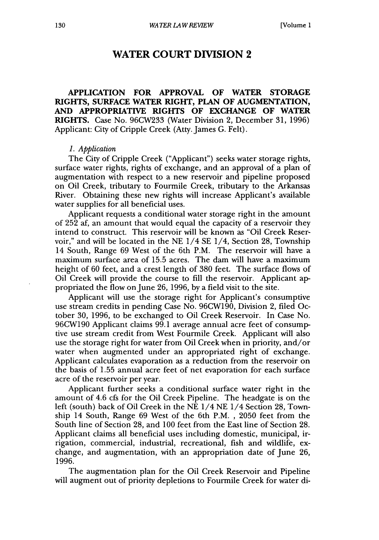## **WATER COURT DIVISION 2**

**APPLICATION FOR APPROVAL OF WATER STORAGE RIGHTS, SURFACE WATER RIGHT, PLAN OF AUGMENTATION, AND APPROPRIATIVE RIGHTS OF EXCHANGE OF WATER RIGHTS.** Case No. **96CW233** (Water Division 2, December 31, 1996) Applicant: City of Cripple Creek (Atty. James G. Felt).

#### *1. Application*

The City of Cripple Creek ("Applicant") seeks water storage rights, surface water rights, rights of exchange, and an approval of a plan of augmentation with respect to a new reservoir and pipeline proposed on Oil Creek, tributary to Fourmile Creek, tributary to the Arkansas River. Obtaining these new rights will increase Applicant's available water supplies for all beneficial uses.

Applicant requests a conditional water storage right in the amount of 252 af, an amount that would equal the capacity of a reservoir they intend to construct. This reservoir will be known as "Oil Creek Reservoir," and will be located in the NE 1/4 SE 1/4, Section 28, Township 14 South, Range 69 West of the 6th P.M. The reservoir will have a maximum surface area of 15.5 acres. The dam will have a maximum height of 60 feet, and a crest length of 380 feet. The surface flows of Oil Creek will provide the course to fill the reservoir. Applicant appropriated the flow on June 26, 1996, by a field visit to the site.

Applicant will use the storage right for Applicant's consumptive use stream credits in pending Case No. 96CW190, Division 2, filed October 30, 1996, to be exchanged to Oil Creek Reservoir. In Case No. 96CW190 Applicant claims 99.1 average annual acre feet of consumptive use stream credit from West Fourmile Creek. Applicant will also use the storage right for water from Oil Creek when in priority, and/or water when augmented under an appropriated right of exchange. Applicant calculates evaporation as a reduction from the reservoir on the basis of 1.55 annual acre feet of net evaporation for each surface acre of the reservoir per year.

Applicant further seeks a conditional surface water right in the amount of 4.6 cfs for the Oil Creek Pipeline. The headgate is on the left (south) back of Oil Creek in the NE 1/4 NE 1/4 Section 28, Township 14 South, Range 69 West of the 6th P.M. , 2050 feet from the South line of Section 28, and 100 feet from the East line of Section 28. Applicant claims all beneficial uses including domestic, municipal, irrigation, commercial, industrial, recreational, fish and wildlife, exchange, and augmentation, with an appropriation date of June 26, 1996.

The augmentation plan for the Oil Creek Reservoir and Pipeline will augment out of priority depletions to Fourmile Creek for water di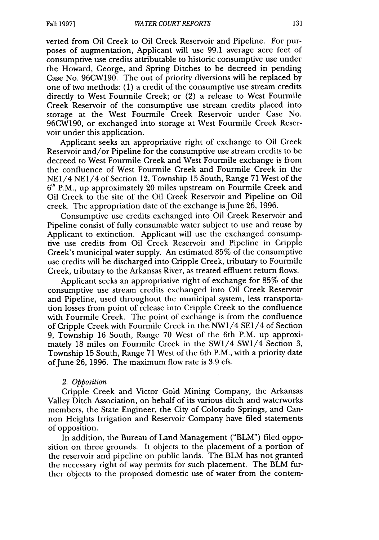verted from Oil Creek to Oil Creek Reservoir and Pipeline. For purposes of augmentation, Applicant will use 99.1 average acre feet of consumptive use credits attributable to historic consumptive use under the Howard, George, and Spring Ditches to be decreed in pending Case No. 96CW190. The out of priority diversions will be replaced by one of two methods: (1) a credit of the consumptive use stream credits directly to West Fourmile Creek; or (2) a release to West Fourmile Creek Reservoir of the consumptive use stream credits placed into storage at the West Fourmile Creek Reservoir under Case No. 96CW190, or exchanged into storage at West Fourmile Creek Reservoir under this application.

Applicant seeks an appropriative right of exchange to Oil Creek Reservoir and/or Pipeline for the consumptive use stream credits to be decreed to West Fourmile Creek and West Fourmile exchange is from the confluence of West Fourmile Creek and Fourmile Creek in the NE1/4 NE1/4 of Section 12, Township 15 South, Range 71 West of the **6 '** P.M., up approximately 20 miles upstream on Fourmile Creek and Oil Creek to the site of the Oil Creek Reservoir and Pipeline on Oil creek. The appropriation date of the exchange is June 26, 1996.

Consumptive use credits exchanged into Oil Creek Reservoir and Pipeline consist of fully consumable water subject to use and reuse by Applicant to extinction. Applicant will use the exchanged consumptive use credits from Oil Creek Reservoir and Pipeline in Cripple Creek's municipal water supply. An estimated 85% of the consumptive use credits will be discharged into Cripple Creek, tributary to Fourmile Creek, tributary to the Arkansas River, as treated effluent return flows.

Applicant seeks an appropriative right of exchange for 85% of the consumptive use stream credits exchanged into Oil Creek Reservoir and Pipeline, used throughout the municipal system, less transportation losses from point of release into Cripple Creek to the confluence with Fourmile Creek. The point of exchange is from the confluence of Cripple Creek with Fourmile Creek in the NW1/4 SE1/4 of Section 9, Township 16 South, Range 70 West of the 6th P.M. up approximately 18 miles on Fourmile Creek in the SW1/4 SW1/4 Section 3, Township 15 South, Range 71 West of the 6th P.M., with a priority date of June 26, 1996. The maximum flow rate is 3.9 cfs.

#### 2. *Opposition*

Cripple Creek and Victor Gold Mining Company, the Arkansas Valley Ditch Association, on behalf of its various ditch and waterworks members, the State Engineer, the City of Colorado Springs, and Cannon Heights Irrigation and Reservoir Company have filed statements of opposition.

In addition, the Bureau of Land Management ("BLM") filed opposition on three grounds. It objects to the placement of a portion of the reservoir and pipeline on public lands. The BLM has not granted the necessary right of way permits for such placement. The BLM further objects to the proposed domestic use of water from the contem